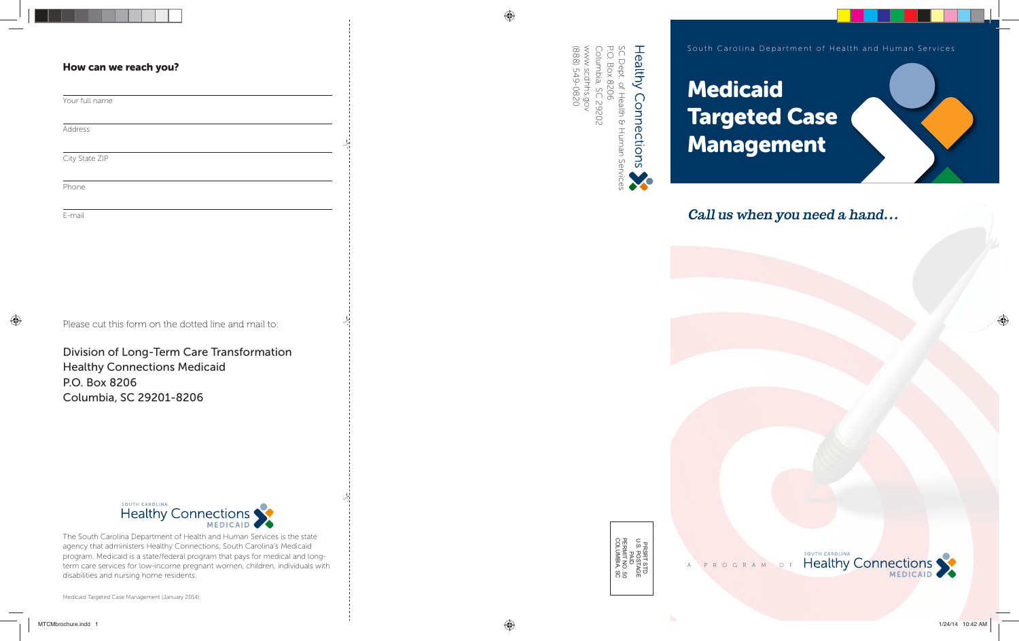

Medicaid Targeted Case Management (January 2014).

⊕